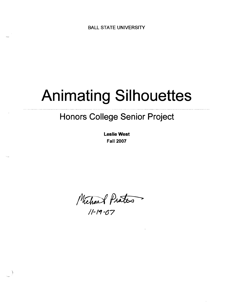# **Animating Silhouettes**

# **Honors College Senior Project**

**Leslie West Fall 2007** 

Michael Prates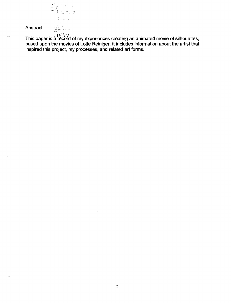$E_{l}$ , .<br>2m

Abstract:

This paper is a record of my experiences creating an animated movie of silhouettes, based upon the movies of Lotte Reiniger. It includes information about the artist that inspired this project, my processes, and related art forms.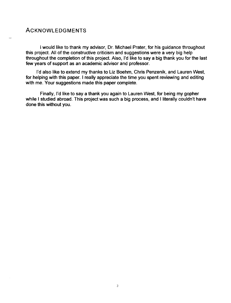# ACKNOWLEDGMENTS

I would like to thank my advisor, Dr. Michael Prater, for his guidance throughout this project. All of the constructive criticism and suggestions were a very big help throughout the completion of this project. Also, I'd like to say a big thank you for the last few years of support as an academic advisor and professor.

I'd also like to extend my thanks to Liz Boehm, Chris Penzenik, and Lauren West, for helping with this paper. I really appreciate the time you spent reviewing and editing with me. Your suggestions made this paper complete.

Finally, I'd like to say a thank you again to Lauren West, for being my gopher while I studied abroad. This project was such a big process, and I literally couldn't have done this without you.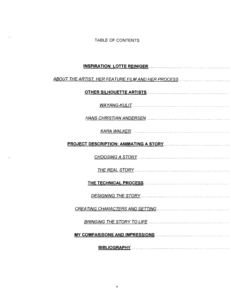TABLE OF CONTENTS

 $\omega_{\rm max}$ 

i.

| WAYANG-KULIT |
|--------------|
|              |
|              |
|              |
|              |
|              |
|              |
|              |
|              |
|              |
|              |
| BIBLIOGRAPHY |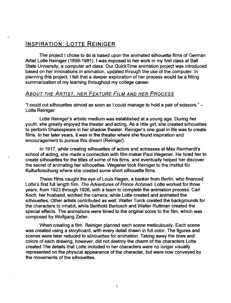# INSPIRATION: LOTTE REINIGER

The project I chose to do is based upon the animated silhouette films of German Artist Lotte Reiniger (1899-1981). I was exposed to her work in my first class at Ball State University, a computer art class. Our QuickTime animation project was introduced based on her innovations in animation, updated through the use of the computer. In planning this project, I felt that a deeper exploration of her process would be a fitting summarization of my learning throughout my college career.

#### ABOUT THE ARTIST, HER FEATURE FILM AND HER PROCESS

"I could cut silhouettes almost as soon as I could manage to hold a pair of scissors." - Lotte Reiniger

Lotte Reiniger's artistic medium was established at a young age. During her youth, she greatly enjoyed the theater and acting. As a little girl, she created silhouettes to perform Shakespeare in her shadow theater. Reiniger's one goal in life was to create films. In her later years, it was in the theater where she found inspiration and encouragement to pursue this dream (Reiniger).

In 1917, while creating silhouettes of actors and actresses at Max Reinhardt's school of acting, she made a connection with film-maker Paul Wegener. He hired her to create silhouettes for the titles of some of his films, and eventually helped her discover the secret of animating her silhouettes. Wegener took Reiniger to the Institut fur Kulturforschung where she created some short silhouette films.

These films caught the eye of Louis Hagen, a banker from Berlin, who financed Lotte's first full length film, The Adventures of Prince Achmed. Lotte worked for three years, from 1923 through 1926, with a team to complete the animation process. Carl Koch, her husband, worked the camera, while Lotte created and animated the silhouettes. Other artists contributed as well; Walter Turck created the backgrounds for the characters to inhabit, while Berthold Bartosch and Walter Ruttman created the special effects. The animations were timed to the original score to the film, which was composed by Wolfgang Zeller.

When creating a film, Reiniger planned each scene meticulously. Each scene was created using a storyboard, with every detail drawn in full color. The figures and scenes were later reduced to silhouettes for animation. Taking away the lines and colors of each drawing, however, did not destroy the charm of the characters Lotte created The details that Lotte included in her characters were no longer visually represented on the physical appearance of the character, but were now conveyed by the movements of the silhouettes.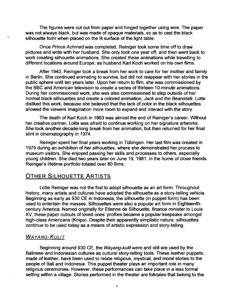The figures were cut out from paper and hinged together using wire. The paper was not always black, but was made of opaque materials, so as to cast the black silhouette form when placed on the lit surface of the light table.

Once Prince Achmed was completed, Reiniger took some time off to draw pictures and write with her husband. She only took one year off, and then went back to work creating silhouette animations. She created these animations while travelling to different locations around Europe, as husband Karl Koch worked on his own films.

After 1943, Reiniger took a break from her work to care for her mother and family in Berlin. She continued animating to survive, but did not reappear with her stories in the public sphere until ten years later. Upon her return to film, she was commissioned by the BBC and American television to create a series of thirteen 1 O-minute animations. During her commissioned work, she was also commissioned to step outside of her normal black silhouettes and create a colored animation, Jack and the Beanstalk. Lotte disliked this work, because she believed that the lack of color in the black silhouettes allowed the viewers imagination more room to expand and interact with the story.

The death of Karl Koch in 1963 was almost the end of Reiniger's career. Without her creative partner, Lotte was afraid to continue working on her signature artworks. She took another decade-long break from her animation, but then returned for her final stint in cinematography in 1974.

Reiniger spent her final years working in Tubingen. Her last film was created in 1979 during an exhibition of her silhouettes, where she demonstrated her process to museum visitors. She enjoyed passing her skills and processes to others, especially young children. She died two years later on June 19, 1981, in the home of close friends. Reiniger's lifetime portfolio totaled over 80 films.

# **OTHER SILHOUETTE ARTISTS**

Lotte Reiniger was not the first to adopt silhouette as an art form. Throughout history, many artists and cultures have adopted the silhouette as a story-telling vehicle. Beginning as early as 930 CE in Indonesia, the silhouette (in puppet form) has been used to entertain the masses. Silhouettes were also a popular art form in Eighteenthcentury America. Named originally for Etienne de Silhouette, finance minister to Louis XV, these paper cutouts of loved ones' profiles became a popular keepsake amongst high-class Americans (Knipe). Despite their apparently simplistic nature, silhouettes continue to be used today as a means of artistic expression and story-telling.

# WAYANG-KULIT

Beginning around 930 CE, the Wayang-kulit were and still are used by the Balinese and Indonesian cultures as cultural story-telling tools. These leather puppets, made of leather, have been used to relate religious, mystical, and moral stories to the people of Bali and Indonesia. This puppet theater plays an important role in many religious ceremonies. However, these performances can take place in a less formal setting within a village. Stories performed in the theater are folktales that belong to the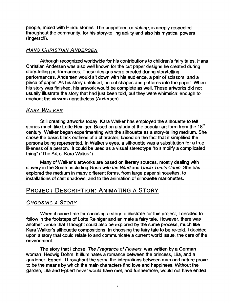people, mixed with Hindu stories. The puppeteer, or dalang, is deeply respected throughout the community, for his story-telling ability and also his mystical powers (Ingersoll).

#### HANS CHRISTIAN ANDERSEN

Although recognized worldwide for his contributions to children's fairy tales, Hans Christian Andersen was also well known for the cut paper deSigns he created during story-telling performances. These designs were created during storytelling performances. Andersen would sit down with his audience, a pair of scissors, and a piece of paper. As his story unfolded, he cut shapes and patterns into the paper. When his story was finished, his artwork would be complete as well. These artworks did not usually illustrate the story that had just been told, but they were whimsical enough to enchant the viewers nonetheless (Andersen).

# KARA WALKER

Still creating artworks today, Kara Walker has employed the silhouette to tell stories much like Lotte Reiniger. Based on a study of the popular art form from the 18<sup>th</sup> century, Walker began experimenting with the silhouette as a story-telling medium. She chose the basic black outlines of a character, based on the fact that it simplified the persona being represented. In Walker's eyes, a silhouette was a substitution for a true likeness of a person. It could be used as a visual stereotype "to simplify a complicated thing" ("The Art of Kara Walker").

Many of Walker's artworks are based on literary sources, mostly dealing with slavery in the South, including Gone with the Wind and Uncle Tom's Cabin. She has explored the medium in many different forms, from large paper Silhouettes, to installations of cast shadows, and to the animation of silhouette marionettes.

# PROJECT DESCRIPTION: ANIMATING A STORY

# CHOOSING A STORY

When it came time for choosing a story to illustrate for this project, I decided to follow in the footsteps of Lotte Reiniger and animate a fairy tale. However, there was another venue that I thought could also be explored by the same process, much like Kara Walker's silhouette compositions. In choosing the fairy tale to be re-told, I decided upon a story that could relate to and communicate a current world issue, the care of the environment.

The story that I chose, The Fragrance of Flowers, was written by a German woman, Hedwig Dohm. It illuminates a romance between the princess, Lila, and a gardener, Egbert. Throughout the story, the interactions between man and nature prove to be the means by which the main characters find love and happiness. Without the garden, Lila and Egbert never would have met, and furthermore, would not have ended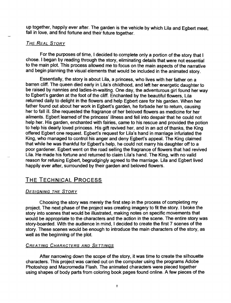up together, happily ever after. The garden is the vehicle by which Lila and Egbert meet, fall in love, and find fortune and their future together.

#### **THE REAL STORY**

For the purposes of time, I decided to complete only a portion of the story that I chose. I began by reading through the story, eliminating details that were not essential to the main plot. This process allowed me to focus on the main aspects of the narrative and begin planning the visual elements that would be included in the animated story.

Essentially, the story is about Lila, a princess, who lives with her father on a barren cliff. The queen died early in Lila's childhood, and left her energetic daughter to be raised by nannies and ladies-in-waiting. One day, the adventurous girl found her way to Egbert's garden at the foot of the cliff. Enchanted by the beautiful flowers, Lila returned daily to delight in the flowers and help Egbert care for his garden. When her father found out about her work in Egbert's garden, he forbade her to return, causing her to fall ill. She requested the fragrance of her beloved flowers as medicine for her ailments. Egbert learned of the princess' illness and fell into despair that he could not help her. His garden, enchanted with fairies, came to his rescue and provided the potion to help his dearly loved princess. His gift revived her, and in an act of thanks, the King offered Egbert one request. Egbert's request for Lila's hand in marriage infuriated the King, who managed to control his anger and deny Egbert's appeal. The King claimed that while he was thankful for Egbert's help, he could not marry his daughter off to a poor gardener. Egbert went on the road selling the fragrance of flowers that had revived Lila. He made his fortune and returned to claim Lila's hand. The King, with no valid reason for refusing Egbert, begrudgingly agreed to the marriage. Lila and Egbert lived happily ever after, surrounded by their garden and beloved flowers.

# THE TECHNICAL PROCESS

#### DESIGNING THE STORY

Choosing the story was merely the first step in the process of completing my project. The next phase of the project was creating imagery to fit the story. I broke the story into scenes that would be illustrated, making notes on specific movements that would be appropriate to the characters and the action in the scene. The entire story was story-boarded. With the audience in mind, I decided to create the first 7 scenes of the story. These scenes would be enough to introduce the main characters of the story, as well as the beginning of the plot.

#### **CREATING CHARACTERS AND SETTINGS**

After narrowing down the scope of the story, it was time to create the silhouette characters. This project was carried out on the computer using the programs Adobe Photoshop and Macromedia Flash. The animated characters were pieced together using shapes of body parts from coloring book pages found online. A few pieces of the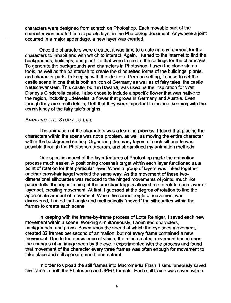characters were designed from scratch on Photoshop. Each movable part of the character was created in a separate layer in the Photoshop document. Anywhere a joint occurred in a major appendage, a new layer was created.

Once the characters were created, it was time to create an environment for the characters to inhabit and with which to interact. Again, I turned to the internet to find the backgrounds, buildings, and plant life that were to create the settings for the characters. To generate the backgrounds and characters in Photoshop, I used the clone stamp tools, as well as the paintbrush to create the silhouetted forms of the buildings, plants, and character parts. In keeping with the idea of a German setting, I chose to set the castle scene in one that is both an icon of Germany as well as of fairy tales, the castle Neuschwanstein. This castle, built in Bavaria, was used as the inspiration for Walt Disney's Cinderella castle. I also chose to include a specific flower that was native to the region, including Edelweiss, a flower that grows in Germany and Austria. Even though they are small details, I felt that they were important to include, keeping with the consistency of the fairy tale's origins.

#### BRINGING THE STORY TO LIFE

The animation of the characters was a learning process. I found that placing the characters within the scene was not a problem, as well as moving the entire character within the background setting. Organizing the many layers of each silhouette was possible through the Photoshop program, and streamlined my animation methods.

One specific aspect of the layer features of Photoshop made the animation process much easier. A positioning crosshair target within each layer functioned as a point of rotation for that particular layer. When a group of layers was linked together, another crosshair target worked the same way. As the movement of these twodimensional silhouettes was reduced to the hinged movements of joints, much like paper dolls, the repositioning of the cross hair targets allowed me to rotate each layer or layer set, creating movement. At first, I guessed at the degree of rotation to find the appropriate amount of movement. When the correct angle of movement was discovered, I noted that angle and methodically "moved" the silhouettes within the frames to create each scene.

In keeping with the frame-by-frame process of Lotte Reiniger, I saved each new movement within a scene. Working simultaneously, I animated characters, backgrounds, and props. Based upon the speed at which the eye sees movement, I created 32 frames per second of animation, but not every frame contained a new movement. Due to the persistence of vision, the mind creates movement based upon the changes of an image seen by the eye. I experimented with the process and found that movement of the character every three frames was often enough for movement to take place and still appear smooth and natural.

In order to upload the still frames into Macromedia Flash, I simultaneously saved the frame in both the Photoshop and JPEG formats. Each still frame was saved with a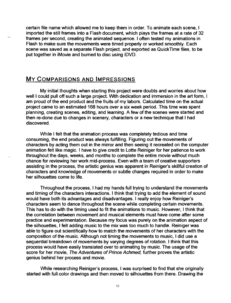certain file name which allowed me to keep them in order. To animate each scene, I imported the still frames into a Flash document, which plays the frames at a rate of 32 frames per second, creating the animated sequence. I often tested my animations in Flash to make sure the movements were timed properly or worked smoothly. Each scene was saved as a separate Flash project, and exported as QuickTime files, to be put together in iMovie and burned to disc using iDVD.

# My COMPARISONS AND IMPRESSIONS

My initial thoughts when starting this project were doubts and worries about how well I could pull off such a large project. With dedication and immersion in the art form, I am proud of the end product and the fruits of my labors. Calculated time on the actual project came to an estimated 168 hours over a six week period. This time was spent planning, creating scenes, editing, and learning. A few of the scenes were started and then re-done due to changes in scenery, characters or a new technique that I had discovered.

While I felt that the animation process was completely tedious and time consuming, the end product was always fulfilling. Figuring out the movements of characters by acting them out in the mirror and then seeing it recreated on the computer animation felt like magic. I have to give credit to Lotte Reiniger for her patience to work throughout the days, weeks, and months to complete the entire movie without much chance for reviewing her work mid-process. Even with a team of creative supporters assisting in the process, the artistic genius was apparent in Reiniger's skillful creation of characters and knowledge of movements or subtle changes required in order to make her silhouettes come to life.

Throughout the process, I had my hands full trying to understand the movements and timing of the characters interactions. I think that trying to add the element of sound would have both its advantages and disadvantages. I really enjoy how Reiniger's characters seem to dance throughout the scene while completing certain movements. This has to do with the timing used to fit the animations to music. However, I think that 'the correlation between movement and musical elements must have come after some practice and experimentation. Because my focus was purely on the animation aspect of the silhouettes, I felt adding music to the mix was too much to handle. Reiniger was able to figure out scientifically how to match the movements of her characters with the composition of the music. Although not timing the movements to music, I did use a sequential breakdown of movements by varying degrees of rotation. I think that this process would have easily translated over to animating by music. The usage of the score for her movie, The Adventures of Prince Achmed, further proves the artistic genius behind her process and movie.

While researching Reiniger's process, I was surprised to find that she originally started with full color drawings and then moved to silhouettes from there. Drawing the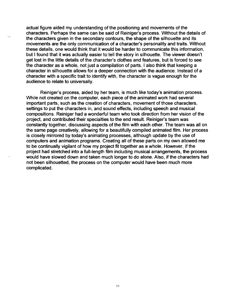actual figure aided my understanding of the positioning and movements of the characters. Perhaps the same can be said of Reiniger's process. Without the details of the characters given in the secondary contours, the shape of the silhouette and its movements are the only communication of a character's personality and traits. Without these details, one would think that it would be harder to communicate this information, but I found that it was actually easier to tell the story in silhouette. The viewer doesn't get lost in the little details of the character's clothes and features, but is forced to see the character as a whole, not just a compilation of parts. I also think that keeping a character in silhouette allows for a deeper connection with the audience. Instead of a character with a specific trait to identify with, the character is vague enough for the audience to relate to universally.

Reiniger's process, aided by her team, is much like today's animation process. While not created on the computer, each piece of the animated work had several important parts, such as the creation of characters, movement of those characters, settings to put the characters in, and sound effects, including speech and musical compositions. Reiniger had a wonderful team who took direction from her vision of the project, and contributed their specialties to the end result. Reiniger's team was constantly together, discussing aspects of the film with each other. The team was all on the same page creatively, allowing for a beautifully compiled animated film. Her process is closely mirrored by today's animating processes, although update by the use of computers and animation programs. Creating all of these parts on my own allowed me to be continually vigilant of how my project fit together as a whole. However, if the project had stretched into a full-length film including musical arrangements, the process would have slowed down and taken much longer to do alone. Also, if the characters had not been silhouetted, the process on the computer would have been much more complicated .